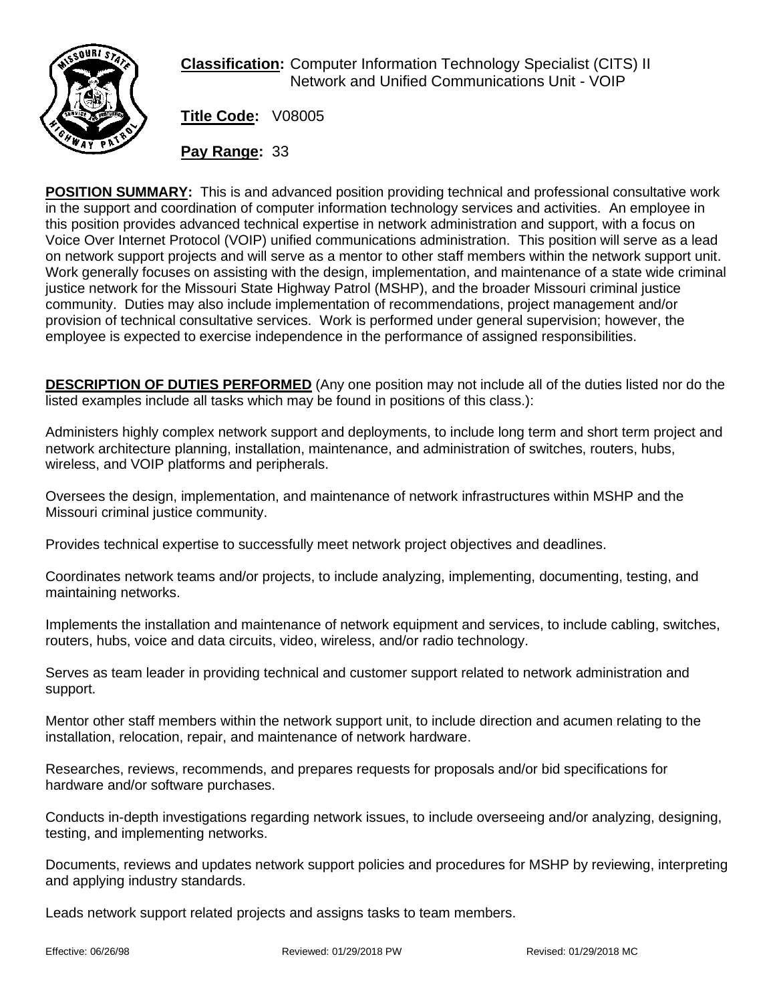

**Classification:** Computer Information Technology Specialist (CITS) II Network and Unified Communications Unit - VOIP

**Title Code:** V08005

**Pay Range:** 33

**POSITION SUMMARY:** This is and advanced position providing technical and professional consultative work in the support and coordination of computer information technology services and activities. An employee in this position provides advanced technical expertise in network administration and support, with a focus on Voice Over Internet Protocol (VOIP) unified communications administration. This position will serve as a lead on network support projects and will serve as a mentor to other staff members within the network support unit. Work generally focuses on assisting with the design, implementation, and maintenance of a state wide criminal justice network for the Missouri State Highway Patrol (MSHP), and the broader Missouri criminal justice community. Duties may also include implementation of recommendations, project management and/or provision of technical consultative services. Work is performed under general supervision; however, the employee is expected to exercise independence in the performance of assigned responsibilities.

**DESCRIPTION OF DUTIES PERFORMED** (Any one position may not include all of the duties listed nor do the listed examples include all tasks which may be found in positions of this class.):

Administers highly complex network support and deployments, to include long term and short term project and network architecture planning, installation, maintenance, and administration of switches, routers, hubs, wireless, and VOIP platforms and peripherals.

Oversees the design, implementation, and maintenance of network infrastructures within MSHP and the Missouri criminal justice community.

Provides technical expertise to successfully meet network project objectives and deadlines.

Coordinates network teams and/or projects, to include analyzing, implementing, documenting, testing, and maintaining networks.

Implements the installation and maintenance of network equipment and services, to include cabling, switches, routers, hubs, voice and data circuits, video, wireless, and/or radio technology.

Serves as team leader in providing technical and customer support related to network administration and support.

Mentor other staff members within the network support unit, to include direction and acumen relating to the installation, relocation, repair, and maintenance of network hardware.

Researches, reviews, recommends, and prepares requests for proposals and/or bid specifications for hardware and/or software purchases.

Conducts in-depth investigations regarding network issues, to include overseeing and/or analyzing, designing, testing, and implementing networks.

Documents, reviews and updates network support policies and procedures for MSHP by reviewing, interpreting and applying industry standards.

Leads network support related projects and assigns tasks to team members.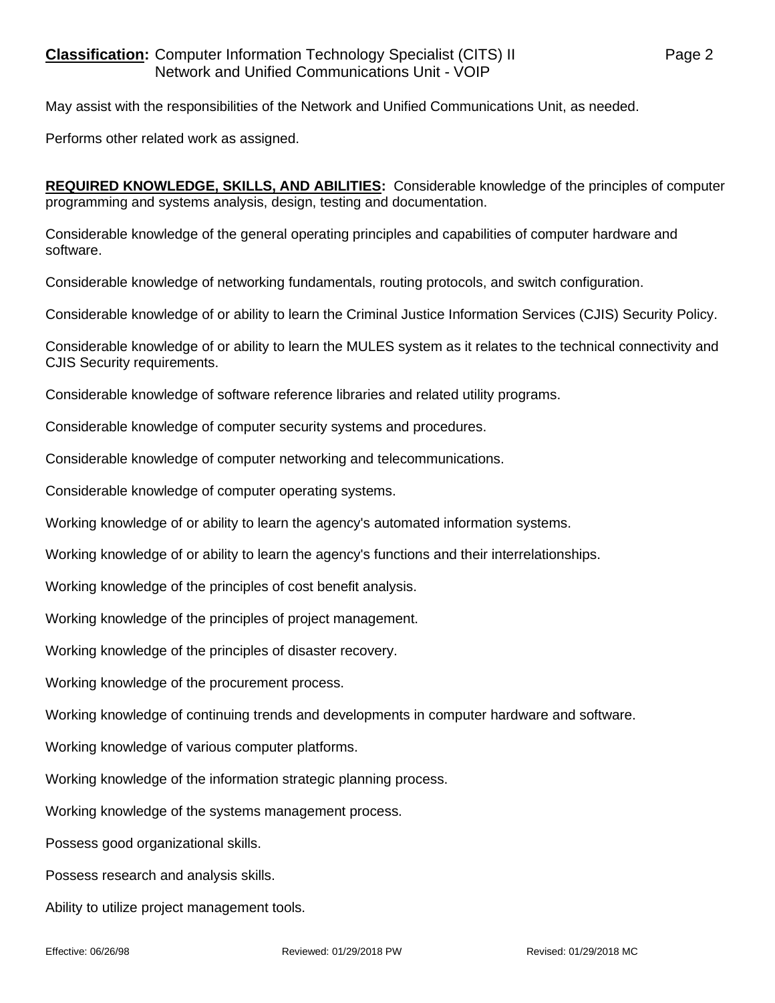May assist with the responsibilities of the Network and Unified Communications Unit, as needed.

Performs other related work as assigned.

**REQUIRED KNOWLEDGE, SKILLS, AND ABILITIES:** Considerable knowledge of the principles of computer programming and systems analysis, design, testing and documentation.

Considerable knowledge of the general operating principles and capabilities of computer hardware and software.

Considerable knowledge of networking fundamentals, routing protocols, and switch configuration.

Considerable knowledge of or ability to learn the Criminal Justice Information Services (CJIS) Security Policy.

Considerable knowledge of or ability to learn the MULES system as it relates to the technical connectivity and CJIS Security requirements.

Considerable knowledge of software reference libraries and related utility programs.

Considerable knowledge of computer security systems and procedures.

Considerable knowledge of computer networking and telecommunications.

Considerable knowledge of computer operating systems.

Working knowledge of or ability to learn the agency's automated information systems.

Working knowledge of or ability to learn the agency's functions and their interrelationships.

Working knowledge of the principles of cost benefit analysis.

Working knowledge of the principles of project management.

Working knowledge of the principles of disaster recovery.

Working knowledge of the procurement process.

Working knowledge of continuing trends and developments in computer hardware and software.

Working knowledge of various computer platforms.

Working knowledge of the information strategic planning process.

Working knowledge of the systems management process.

Possess good organizational skills.

Possess research and analysis skills.

Ability to utilize project management tools.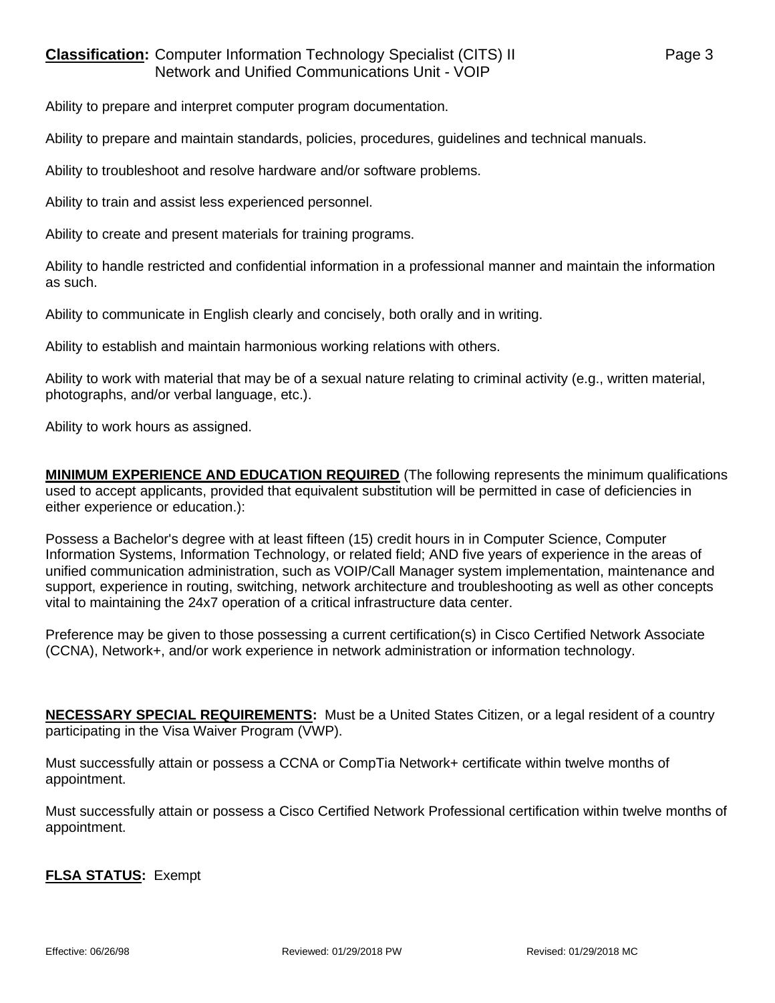## **Classification:** Computer Information Technology Specialist (CITS) II Page 3 Network and Unified Communications Unit - VOIP

Ability to prepare and interpret computer program documentation.

Ability to prepare and maintain standards, policies, procedures, guidelines and technical manuals.

Ability to troubleshoot and resolve hardware and/or software problems.

Ability to train and assist less experienced personnel.

Ability to create and present materials for training programs.

Ability to handle restricted and confidential information in a professional manner and maintain the information as such.

Ability to communicate in English clearly and concisely, both orally and in writing.

Ability to establish and maintain harmonious working relations with others.

Ability to work with material that may be of a sexual nature relating to criminal activity (e.g., written material, photographs, and/or verbal language, etc.).

Ability to work hours as assigned.

**MINIMUM EXPERIENCE AND EDUCATION REQUIRED** (The following represents the minimum qualifications used to accept applicants, provided that equivalent substitution will be permitted in case of deficiencies in either experience or education.):

Possess a Bachelor's degree with at least fifteen (15) credit hours in in Computer Science, Computer Information Systems, Information Technology, or related field; AND five years of experience in the areas of unified communication administration, such as VOIP/Call Manager system implementation, maintenance and support, experience in routing, switching, network architecture and troubleshooting as well as other concepts vital to maintaining the 24x7 operation of a critical infrastructure data center.

Preference may be given to those possessing a current certification(s) in Cisco Certified Network Associate (CCNA), Network+, and/or work experience in network administration or information technology.

**NECESSARY SPECIAL REQUIREMENTS:** Must be a United States Citizen, or a legal resident of a country participating in the Visa Waiver Program (VWP).

Must successfully attain or possess a CCNA or CompTia Network+ certificate within twelve months of appointment.

Must successfully attain or possess a Cisco Certified Network Professional certification within twelve months of appointment.

**FLSA STATUS:** Exempt